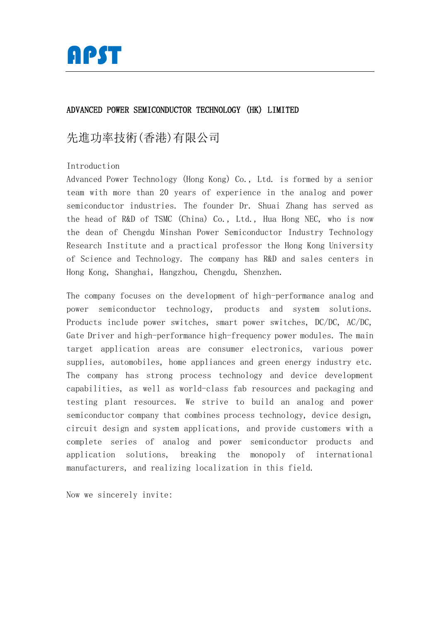

# ADVANCED POWER SEMICONDUCTOR TECHNOLOGY (HK) LIMITED

# 先進功率技術(香港)有限公司

Introduction

Advanced Power Technology (Hong Kong) Co., Ltd. is formed by a senior team with more than 20 years of experience in the analog and power semiconductor industries. The founder Dr. Shuai Zhang has served as the head of R&D of TSMC (China) Co., Ltd., Hua Hong NEC, who is now the dean of Chengdu Minshan Power Semiconductor Industry Technology Research Institute and a practical professor the Hong Kong University of Science and Technology. The company has R&D and sales centers in Hong Kong, Shanghai, Hangzhou, Chengdu, Shenzhen.

The company focuses on the development of high-performance analog and power semiconductor technology, products and system solutions. Products include power switches, smart power switches, DC/DC, AC/DC, Gate Driver and high-performance high-frequency power modules. The main target application areas are consumer electronics, various power supplies, automobiles, home appliances and green energy industry etc. The company has strong process technology and device development capabilities, as well as world-class fab resources and packaging and testing plant resources. We strive to build an analog and power semiconductor company that combines process technology, device design, circuit design and system applications, and provide customers with a complete series of analog and power semiconductor products and application solutions, breaking the monopoly of international manufacturers, and realizing localization in this field.

Now we sincerely invite: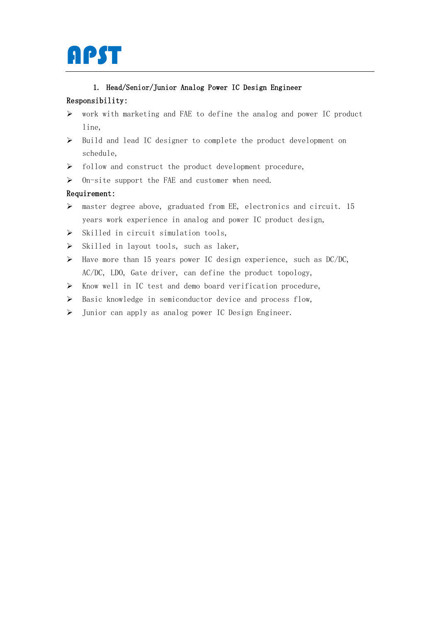

## 1. Head/Senior/Junior Analog Power IC Design Engineer

## Responsibility:

- ➢ work with marketing and FAE to define the analog and power IC product line,
- ➢ Build and lead IC designer to complete the product development on schedule,
- ➢ follow and construct the product development procedure,
- $\triangleright$  On-site support the FAE and customer when need.

## Requirement:

- $\triangleright$  master degree above, graduated from EE, electronics and circuit. 15 years work experience in analog and power IC product design,
- ➢ Skilled in circuit simulation tools,
- ➢ Skilled in layout tools, such as laker,
- ➢ Have more than 15 years power IC design experience, such as DC/DC, AC/DC, LDO, Gate driver, can define the product topology,
- ➢ Know well in IC test and demo board verification procedure,
- ➢ Basic knowledge in semiconductor device and process flow,
- ➢ Junior can apply as analog power IC Design Engineer.